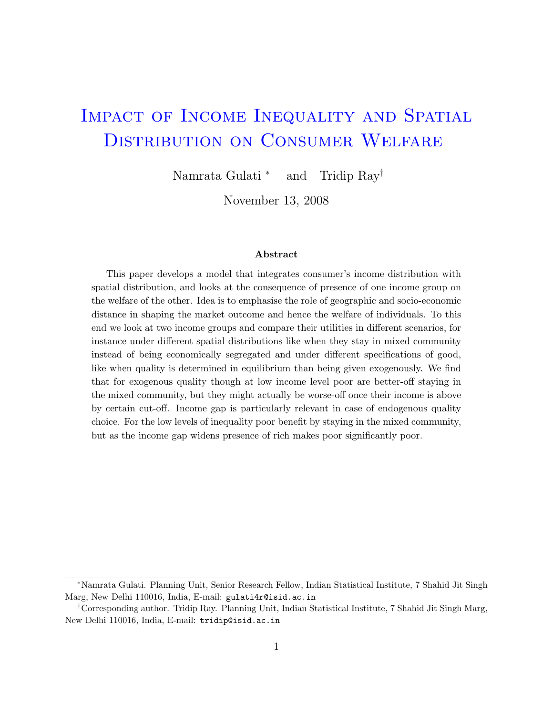# Impact of Income Inequality and Spatial DISTRIBUTION ON CONSUMER WELFARE

Namrata Gulati <sup>∗</sup> and Tridip Ray†

November 13, 2008

#### Abstract

This paper develops a model that integrates consumer's income distribution with spatial distribution, and looks at the consequence of presence of one income group on the welfare of the other. Idea is to emphasise the role of geographic and socio-economic distance in shaping the market outcome and hence the welfare of individuals. To this end we look at two income groups and compare their utilities in different scenarios, for instance under different spatial distributions like when they stay in mixed community instead of being economically segregated and under different specifications of good, like when quality is determined in equilibrium than being given exogenously. We find that for exogenous quality though at low income level poor are better-off staying in the mixed community, but they might actually be worse-off once their income is above by certain cut-off. Income gap is particularly relevant in case of endogenous quality choice. For the low levels of inequality poor benefit by staying in the mixed community, but as the income gap widens presence of rich makes poor significantly poor.

<sup>∗</sup>Namrata Gulati. Planning Unit, Senior Research Fellow, Indian Statistical Institute, 7 Shahid Jit Singh Marg, New Delhi 110016, India, E-mail: gulati4r@isid.ac.in

<sup>†</sup>Corresponding author. Tridip Ray. Planning Unit, Indian Statistical Institute, 7 Shahid Jit Singh Marg, New Delhi 110016, India, E-mail: tridip@isid.ac.in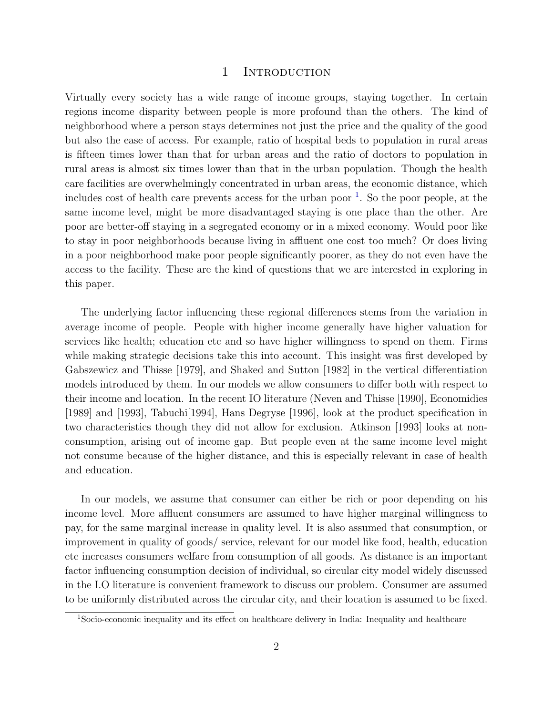#### 1 INTRODUCTION

Virtually every society has a wide range of income groups, staying together. In certain regions income disparity between people is more profound than the others. The kind of neighborhood where a person stays determines not just the price and the quality of the good but also the ease of access. For example, ratio of hospital beds to population in rural areas is fifteen times lower than that for urban areas and the ratio of doctors to population in rural areas is almost six times lower than that in the urban population. Though the health care facilities are overwhelmingly concentrated in urban areas, the economic distance, which includes cost of health care prevents access for the urban poor  $1$ . So the poor people, at the same income level, might be more disadvantaged staying is one place than the other. Are poor are better-off staying in a segregated economy or in a mixed economy. Would poor like to stay in poor neighborhoods because living in affluent one cost too much? Or does living in a poor neighborhood make poor people significantly poorer, as they do not even have the access to the facility. These are the kind of questions that we are interested in exploring in this paper.

The underlying factor influencing these regional differences stems from the variation in average income of people. People with higher income generally have higher valuation for services like health; education etc and so have higher willingness to spend on them. Firms while making strategic decisions take this into account. This insight was first developed by Gabszewicz and Thisse [1979], and Shaked and Sutton [1982] in the vertical differentiation models introduced by them. In our models we allow consumers to differ both with respect to their income and location. In the recent IO literature (Neven and Thisse [1990], Economidies [1989] and [1993], Tabuchi[1994], Hans Degryse [1996], look at the product specification in two characteristics though they did not allow for exclusion. Atkinson [1993] looks at nonconsumption, arising out of income gap. But people even at the same income level might not consume because of the higher distance, and this is especially relevant in case of health and education.

In our models, we assume that consumer can either be rich or poor depending on his income level. More affluent consumers are assumed to have higher marginal willingness to pay, for the same marginal increase in quality level. It is also assumed that consumption, or improvement in quality of goods/ service, relevant for our model like food, health, education etc increases consumers welfare from consumption of all goods. As distance is an important factor influencing consumption decision of individual, so circular city model widely discussed in the I.O literature is convenient framework to discuss our problem. Consumer are assumed to be uniformly distributed across the circular city, and their location is assumed to be fixed.

<sup>&</sup>lt;sup>1</sup>Socio-economic inequality and its effect on healthcare delivery in India: Inequality and healthcare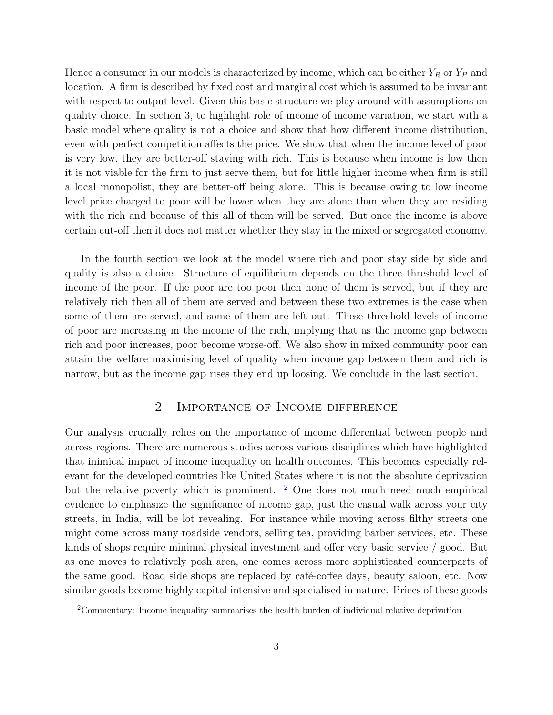Hence a consumer in our models is characterized by income, which can be either  $Y_R$  or  $Y_P$  and location. A firm is described by fixed cost and marginal cost which is assumed to be invariant with respect to output level. Given this basic structure we play around with assumptions on quality choice. In section 3, to highlight role of income of income variation, we start with a basic model where quality is not a choice and show that how different income distribution, even with perfect competition affects the price. We show that when the income level of poor is very low, they are better-off staying with rich. This is because when income is low then it is not viable for the firm to just serve them, but for little higher income when firm is still a local monopolist, they are better-off being alone. This is because owing to low income level price charged to poor will be lower when they are alone than when they are residing with the rich and because of this all of them will be served. But once the income is above certain cut-off then it does not matter whether they stay in the mixed or segregated economy.

In the fourth section we look at the model where rich and poor stay side by side and quality is also a choice. Structure of equilibrium depends on the three threshold level of income of the poor. If the poor are too poor then none of them is served, but if they are relatively rich then all of them are served and between these two extremes is the case when some of them are served, and some of them are left out. These threshold levels of income of poor are increasing in the income of the rich, implying that as the income gap between rich and poor increases, poor become worse-off. We also show in mixed community poor can attain the welfare maximising level of quality when income gap between them and rich is narrow, but as the income gap rises they end up loosing. We conclude in the last section.

# 2 Importance of Income difference

Our analysis crucially relies on the importance of income differential between people and across regions. There are numerous studies across various disciplines which have highlighted that inimical impact of income inequality on health outcomes. This becomes especially relevant for the developed countries like United States where it is not the absolute deprivation but the relative poverty which is prominent.  $\frac{2}{3}$  One does not much need much empirical evidence to emphasize the significance of income gap, just the casual walk across your city streets, in India, will be lot revealing. For instance while moving across filthy streets one might come across many roadside vendors, selling tea, providing barber services, etc. These kinds of shops require minimal physical investment and offer very basic service / good. But as one moves to relatively posh area, one comes across more sophisticated counterparts of the same good. Road side shops are replaced by café-coffee days, beauty saloon, etc. Now similar goods become highly capital intensive and specialised in nature. Prices of these goods

<sup>2</sup>Commentary: Income inequality summarises the health burden of individual relative deprivation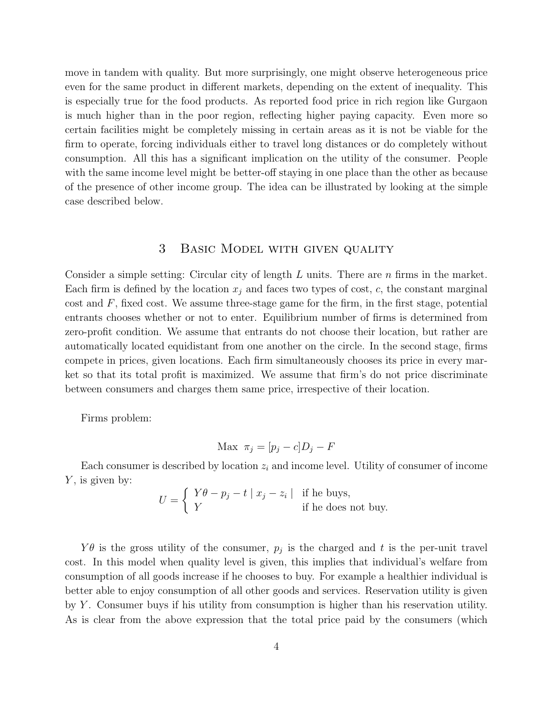move in tandem with quality. But more surprisingly, one might observe heterogeneous price even for the same product in different markets, depending on the extent of inequality. This is especially true for the food products. As reported food price in rich region like Gurgaon is much higher than in the poor region, reflecting higher paying capacity. Even more so certain facilities might be completely missing in certain areas as it is not be viable for the firm to operate, forcing individuals either to travel long distances or do completely without consumption. All this has a significant implication on the utility of the consumer. People with the same income level might be better-off staying in one place than the other as because of the presence of other income group. The idea can be illustrated by looking at the simple case described below.

## 3 Basic Model with given quality

Consider a simple setting: Circular city of length  $L$  units. There are  $n$  firms in the market. Each firm is defined by the location  $x_j$  and faces two types of cost, c, the constant marginal cost and  $F$ , fixed cost. We assume three-stage game for the firm, in the first stage, potential entrants chooses whether or not to enter. Equilibrium number of firms is determined from zero-profit condition. We assume that entrants do not choose their location, but rather are automatically located equidistant from one another on the circle. In the second stage, firms compete in prices, given locations. Each firm simultaneously chooses its price in every market so that its total profit is maximized. We assume that firm's do not price discriminate between consumers and charges them same price, irrespective of their location.

Firms problem:

$$
\text{Max } \pi_j = [p_j - c]D_j - F
$$

Each consumer is described by location  $z_i$  and income level. Utility of consumer of income  $Y$ , is given by:

$$
U = \begin{cases} Y\theta - p_j - t | x_j - z_i | & \text{if he buys,} \\ Y & \text{if he does not buy.} \end{cases}
$$

 $Y\theta$  is the gross utility of the consumer,  $p_j$  is the charged and t is the per-unit travel cost. In this model when quality level is given, this implies that individual's welfare from consumption of all goods increase if he chooses to buy. For example a healthier individual is better able to enjoy consumption of all other goods and services. Reservation utility is given by  $Y$ . Consumer buys if his utility from consumption is higher than his reservation utility. As is clear from the above expression that the total price paid by the consumers (which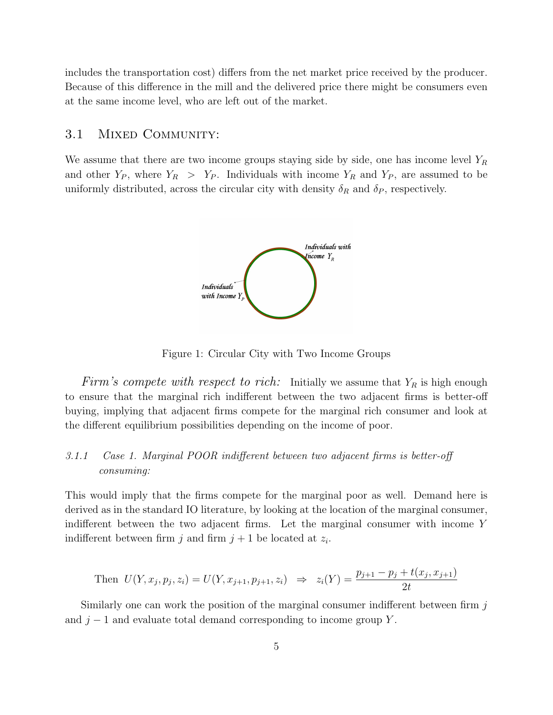includes the transportation cost) differs from the net market price received by the producer. Because of this difference in the mill and the delivered price there might be consumers even at the same income level, who are left out of the market.

# 3.1 MIXED COMMUNITY:

We assume that there are two income groups staying side by side, one has income level  $Y_R$ and other  $Y_P$ , where  $Y_R > Y_P$ . Individuals with income  $Y_R$  and  $Y_P$ , are assumed to be uniformly distributed, across the circular city with density  $\delta_R$  and  $\delta_P$ , respectively.



Figure 1: Circular City with Two Income Groups

Firm's compete with respect to rich: Initially we assume that  $Y_R$  is high enough to ensure that the marginal rich indifferent between the two adjacent firms is better-off buying, implying that adjacent firms compete for the marginal rich consumer and look at the different equilibrium possibilities depending on the income of poor.

# 3.1.1 Case 1. Marginal POOR indifferent between two adjacent firms is better-off consuming:

This would imply that the firms compete for the marginal poor as well. Demand here is derived as in the standard IO literature, by looking at the location of the marginal consumer, indifferent between the two adjacent firms. Let the marginal consumer with income Y indifferent between firm  $j$  and firm  $j + 1$  be located at  $z_i$ .

Then 
$$
U(Y, x_j, p_j, z_i) = U(Y, x_{j+1}, p_{j+1}, z_i) \Rightarrow z_i(Y) = \frac{p_{j+1} - p_j + t(x_j, x_{j+1})}{2t}
$$

Similarly one can work the position of the marginal consumer indifferent between firm  $j$ and  $j-1$  and evaluate total demand corresponding to income group Y.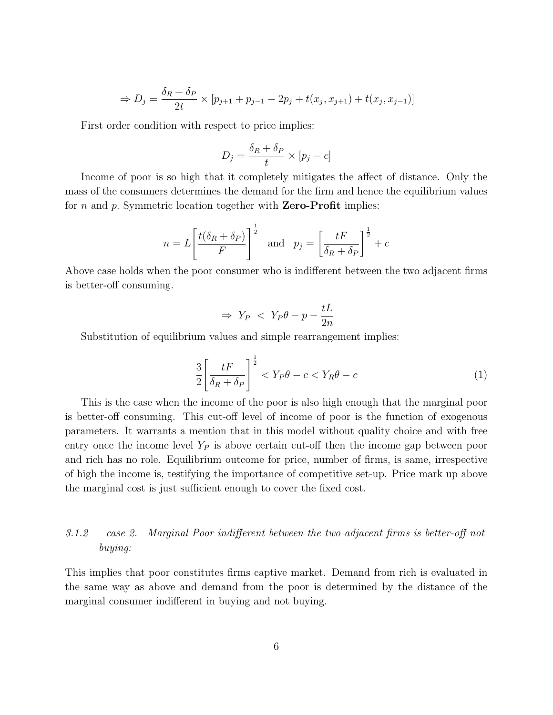$$
\Rightarrow D_j = \frac{\delta_R + \delta_P}{2t} \times [p_{j+1} + p_{j-1} - 2p_j + t(x_j, x_{j+1}) + t(x_j, x_{j-1})]
$$

First order condition with respect to price implies:

$$
D_j = \frac{\delta_R + \delta_P}{t} \times [p_j - c]
$$

Income of poor is so high that it completely mitigates the affect of distance. Only the mass of the consumers determines the demand for the firm and hence the equilibrium values for n and p. Symmetric location together with **Zero-Profit** implies:

$$
n = L \left[ \frac{t(\delta_R + \delta_P)}{F} \right]^{\frac{1}{2}} \quad \text{and} \quad p_j = \left[ \frac{tF}{\delta_R + \delta_P} \right]^{\frac{1}{2}} + c
$$

Above case holds when the poor consumer who is indifferent between the two adjacent firms is better-off consuming.

$$
\Rightarrow Y_P \; < \; Y_P \theta - p - \frac{tL}{2n}
$$

Substitution of equilibrium values and simple rearrangement implies:

$$
\frac{3}{2} \left[ \frac{tF}{\delta_R + \delta_P} \right]^{\frac{1}{2}} < Y_P \theta - c < Y_R \theta - c \tag{1}
$$

This is the case when the income of the poor is also high enough that the marginal poor is better-off consuming. This cut-off level of income of poor is the function of exogenous parameters. It warrants a mention that in this model without quality choice and with free entry once the income level  $Y_P$  is above certain cut-off then the income gap between poor and rich has no role. Equilibrium outcome for price, number of firms, is same, irrespective of high the income is, testifying the importance of competitive set-up. Price mark up above the marginal cost is just sufficient enough to cover the fixed cost.

# 3.1.2 case 2. Marginal Poor indifferent between the two adjacent firms is better-off not buying:

This implies that poor constitutes firms captive market. Demand from rich is evaluated in the same way as above and demand from the poor is determined by the distance of the marginal consumer indifferent in buying and not buying.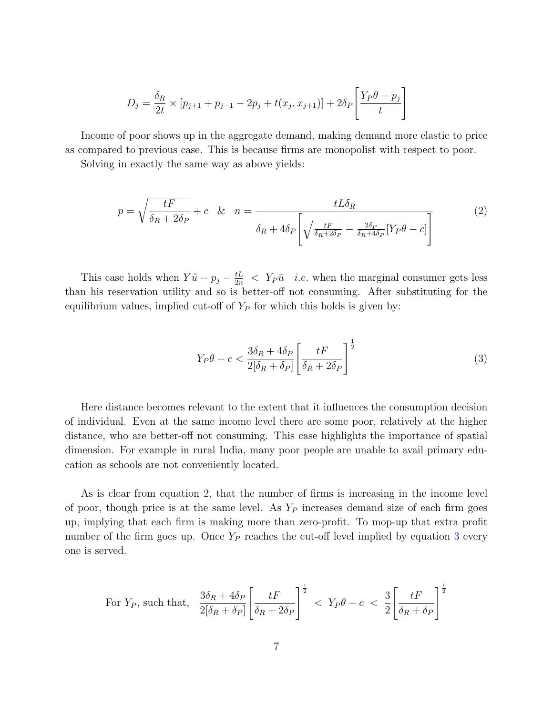$$
D_j = \frac{\delta_R}{2t} \times [p_{j+1} + p_{j-1} - 2p_j + t(x_j, x_{j+1})] + 2\delta_P \left[ \frac{Y_P \theta - p_j}{t} \right]
$$

Income of poor shows up in the aggregate demand, making demand more elastic to price as compared to previous case. This is because firms are monopolist with respect to poor.

Solving in exactly the same way as above yields:

$$
p = \sqrt{\frac{tF}{\delta_R + 2\delta_P}} + c \& n = \frac{tL\delta_R}{\delta_R + 4\delta_P \left[ \sqrt{\frac{tF}{\delta_R + 2\delta_P}} - \frac{2\delta_P}{\delta_R + 4\delta_P} [Y_P \theta - c] \right]}
$$
(2)

This case holds when  $Y\tilde{u} - p_j - \frac{tL}{2n} < Y_P \bar{u}$  *i.e.* when the marginal consumer gets less than his reservation utility and so is better-off not consuming. After substituting for the equilibrium values, implied cut-off of  $Y_P$  for which this holds is given by:

$$
Y_P \theta - c < \frac{3\delta_R + 4\delta_P}{2[\delta_R + \delta_P]} \left[ \frac{t}{\delta_R + 2\delta_P} \right]^{\frac{1}{2}} \tag{3}
$$

Here distance becomes relevant to the extent that it influences the consumption decision of individual. Even at the same income level there are some poor, relatively at the higher distance, who are better-off not consuming. This case highlights the importance of spatial dimension. For example in rural India, many poor people are unable to avail primary education as schools are not conveniently located.

As is clear from equation 2, that the number of firms is increasing in the income level of poor, though price is at the same level. As  $Y_P$  increases demand size of each firm goes up, implying that each firm is making more than zero-profit. To mop-up that extra profit number of the firm goes up. Once  $Y_P$  reaches the cut-off level implied by equation 3 every one is served.

For 
$$
Y_P
$$
, such that, 
$$
\frac{3\delta_R + 4\delta_P}{2[\delta_R + \delta_P]} \left[ \frac{tF}{\delta_R + 2\delta_P} \right]^{\frac{1}{2}} < Y_P \theta - c < \frac{3}{2} \left[ \frac{tF}{\delta_R + \delta_P} \right]^{\frac{1}{2}}
$$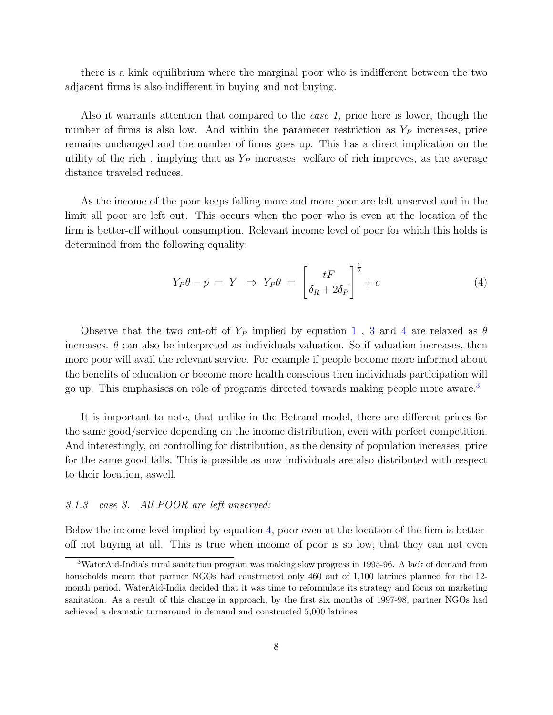there is a kink equilibrium where the marginal poor who is indifferent between the two adjacent firms is also indifferent in buying and not buying.

Also it warrants attention that compared to the *case 1*, price here is lower, though the number of firms is also low. And within the parameter restriction as  $Y_P$  increases, price remains unchanged and the number of firms goes up. This has a direct implication on the utility of the rich, implying that as  $Y_P$  increases, welfare of rich improves, as the average distance traveled reduces.

As the income of the poor keeps falling more and more poor are left unserved and in the limit all poor are left out. This occurs when the poor who is even at the location of the firm is better-off without consumption. Relevant income level of poor for which this holds is determined from the following equality:

$$
Y_P \theta - p = Y \Rightarrow Y_P \theta = \left[ \frac{tF}{\delta_R + 2\delta_P} \right]^{\frac{1}{2}} + c \tag{4}
$$

Observe that the two cut-off of  $Y_P$  implied by equation 1, 3 and 4 are relaxed as  $\theta$ increases.  $\theta$  can also be interpreted as individuals valuation. So if valuation increases, then more poor will avail the relevant service. For example if people become more informed about the benefits of education or become more health conscious then individuals participation will go up. This emphasises on role of programs directed towards making people more aware.<sup>3</sup>

It is important to note, that unlike in the Betrand model, there are different prices for the same good/service depending on the income distribution, even with perfect competition. And interestingly, on controlling for distribution, as the density of population increases, price for the same good falls. This is possible as now individuals are also distributed with respect to their location, aswell.

#### 3.1.3 case 3. All POOR are left unserved:

Below the income level implied by equation 4, poor even at the location of the firm is betteroff not buying at all. This is true when income of poor is so low, that they can not even

<sup>3</sup>WaterAid-India's rural sanitation program was making slow progress in 1995-96. A lack of demand from households meant that partner NGOs had constructed only 460 out of 1,100 latrines planned for the 12month period. WaterAid-India decided that it was time to reformulate its strategy and focus on marketing sanitation. As a result of this change in approach, by the first six months of 1997-98, partner NGOs had achieved a dramatic turnaround in demand and constructed 5,000 latrines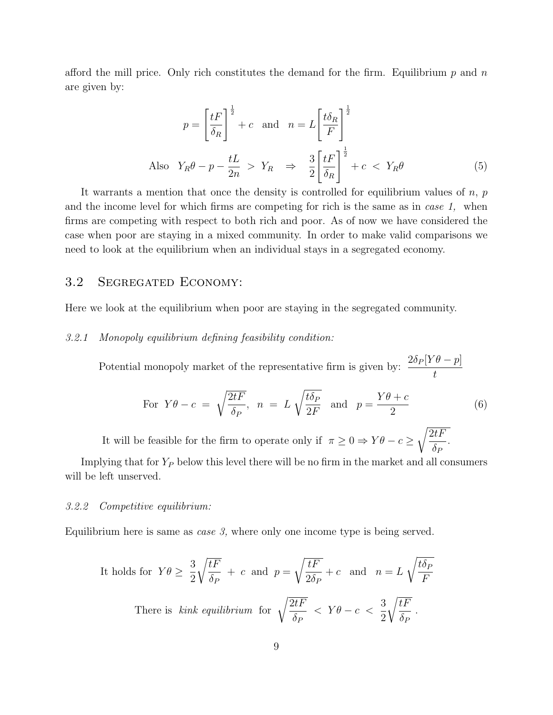afford the mill price. Only rich constitutes the demand for the firm. Equilibrium  $p$  and  $n$ are given by:

$$
p = \left[\frac{tF}{\delta_R}\right]^{\frac{1}{2}} + c \quad \text{and} \quad n = L\left[\frac{t\delta_R}{F}\right]^{\frac{1}{2}}
$$
  
Also  $Y_R \theta - p - \frac{tL}{2n} > Y_R \Rightarrow \frac{3}{2} \left[\frac{tF}{\delta_R}\right]^{\frac{1}{2}} + c < Y_R \theta$  (5)

It warrants a mention that once the density is controlled for equilibrium values of  $n, p$ and the income level for which firms are competing for rich is the same as in case 1, when firms are competing with respect to both rich and poor. As of now we have considered the case when poor are staying in a mixed community. In order to make valid comparisons we need to look at the equilibrium when an individual stays in a segregated economy.

## 3.2 Segregated Economy:

Here we look at the equilibrium when poor are staying in the segregated community.

#### 3.2.1 Monopoly equilibrium defining feasibility condition:

Potential monopoly market of the representative firm is given by:  $\frac{2\delta_P[Y\theta - p]}{I}$ t

For 
$$
Y\theta - c = \sqrt{\frac{2tF}{\delta_P}}, \quad n = L\sqrt{\frac{t\delta_P}{2F}}
$$
 and  $p = \frac{Y\theta + c}{2}$  (6)

It will be feasible for the firm to operate only if  $\pi \geq 0 \Rightarrow Y\theta - c \geq 0$  $\sqrt{2tF}$  $\delta_P$ .

Implying that for  $Y_P$  below this level there will be no firm in the market and all consumers will be left unserved.

#### 3.2.2 Competitive equilibrium:

Equilibrium here is same as case 3, where only one income type is being served.

It holds for 
$$
Y\theta \ge \frac{3}{2}\sqrt{\frac{tF}{\delta_P}} + c
$$
 and  $p = \sqrt{\frac{tF}{2\delta_P}} + c$  and  $n = L\sqrt{\frac{t\delta_P}{F}}$   
There is *kink equilibrium* for  $\sqrt{\frac{2tF}{\delta_P}} < Y\theta - c < \frac{3}{2}\sqrt{\frac{tF}{\delta_P}}$ .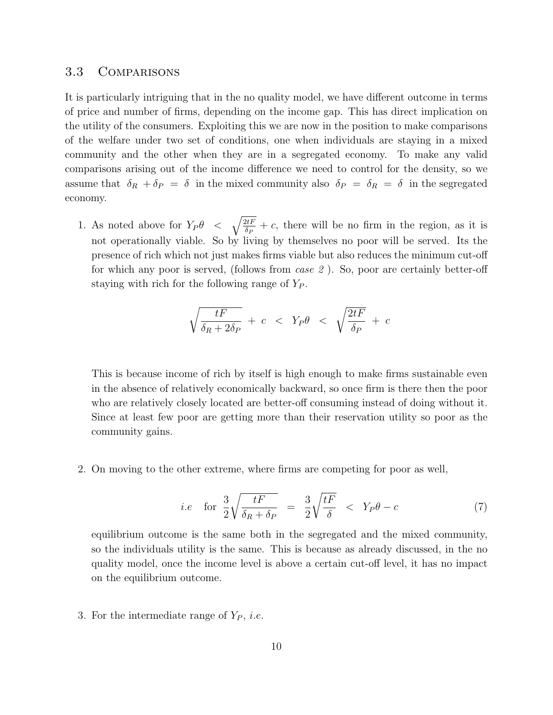## 3.3 Comparisons

It is particularly intriguing that in the no quality model, we have different outcome in terms of price and number of firms, depending on the income gap. This has direct implication on the utility of the consumers. Exploiting this we are now in the position to make comparisons of the welfare under two set of conditions, one when individuals are staying in a mixed community and the other when they are in a segregated economy. To make any valid comparisons arising out of the income difference we need to control for the density, so we assume that  $\delta_R + \delta_P = \delta$  in the mixed community also  $\delta_P = \delta_R = \delta$  in the segregated economy.

1. As noted above for  $Y_P \theta \ \n\langle \frac{\partial t}{\partial P} + c \rangle$ , there will be no firm in the region, as it is not operationally viable. So by living by themselves no poor will be served. Its the presence of rich which not just makes firms viable but also reduces the minimum cut-off for which any poor is served, (follows from case 2 ). So, poor are certainly better-off staying with rich for the following range of  $Y_P$ .

$$
\sqrt{\frac{tF}{\delta_R + 2\delta_P}} + c < Y_P \theta < \sqrt{\frac{2tF}{\delta_P}} + c
$$

This is because income of rich by itself is high enough to make firms sustainable even in the absence of relatively economically backward, so once firm is there then the poor who are relatively closely located are better-off consuming instead of doing without it. Since at least few poor are getting more than their reservation utility so poor as the community gains.

2. On moving to the other extreme, where firms are competing for poor as well,

*i.e* for 
$$
\frac{3}{2}\sqrt{\frac{tF}{\delta_R + \delta_P}} = \frac{3}{2}\sqrt{\frac{tF}{\delta}} < Y_P \theta - c
$$
 (7)

equilibrium outcome is the same both in the segregated and the mixed community, so the individuals utility is the same. This is because as already discussed, in the no quality model, once the income level is above a certain cut-off level, it has no impact on the equilibrium outcome.

3. For the intermediate range of  $Y_P$ , *i.e.*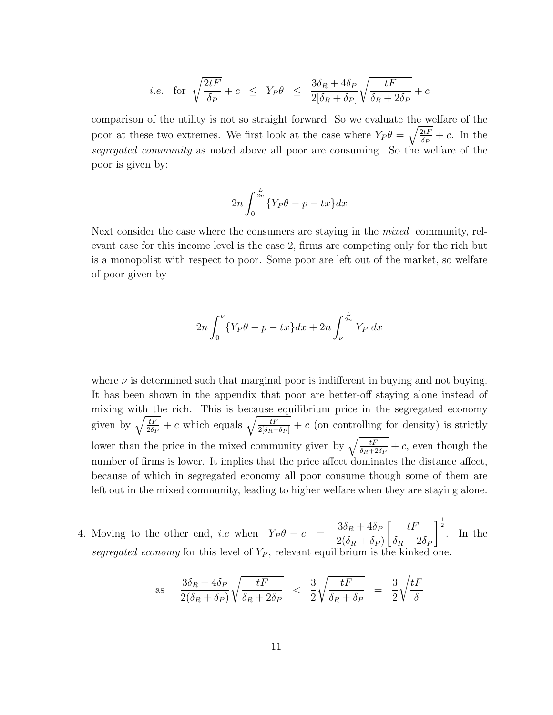*i.e.* for 
$$
\sqrt{\frac{2tF}{\delta_P}} + c \le Y_P \theta \le \frac{3\delta_R + 4\delta_P}{2[\delta_R + \delta_P]} \sqrt{\frac{tF}{\delta_R + 2\delta_P}} + c
$$

comparison of the utility is not so straight forward. So we evaluate the welfare of the poor at these two extremes. We first look at the case where  $Y_P \theta = \sqrt{\frac{2tF}{\delta P}}$  $\frac{2tF}{\delta P} + c$ . In the segregated community as noted above all poor are consuming. So the welfare of the poor is given by:

$$
2n\int_0^{\frac{L}{2n}} \{Y_P \theta - p - tx\} dx
$$

Next consider the case where the consumers are staying in the *mixed* community, relevant case for this income level is the case 2, firms are competing only for the rich but is a monopolist with respect to poor. Some poor are left out of the market, so welfare of poor given by

$$
2n\int_0^{\nu} \{Y_P\theta - p - tx\} dx + 2n\int_{\nu}^{\frac{L}{2n}} Y_P dx
$$

where  $\nu$  is determined such that marginal poor is indifferent in buying and not buying. It has been shown in the appendix that poor are better-off staying alone instead of mixing with the rich. This is because equilibrium price in the segregated economy given by  $\sqrt{\frac{tF}{2\delta_P}} + c$  which equals  $\sqrt{\frac{tF}{2[\delta_R + \delta_P]}} + c$  (on controlling for density) is strictly lower than the price in the mixed community given by  $\sqrt{\frac{tF}{\delta_R+2\delta_P}}+c$ , even though the number of firms is lower. It implies that the price affect dominates the distance affect, because of which in segregated economy all poor consume though some of them are left out in the mixed community, leading to higher welfare when they are staying alone.

4. Moving to the other end, *i.e* when  $Y_P \theta - c = \frac{3\delta_R + 4\delta_F}{2(S - 5)^2}$  $2(\delta_R+\delta_P)$  $\lceil tF$  $\delta_R + 2\delta_P$  $\int_{0}^{\frac{1}{2}}$ . In the segregated economy for this level of  $Y_P$ , relevant equilibrium is the kinked one.

as 
$$
\frac{3\delta_R + 4\delta_P}{2(\delta_R + \delta_P)} \sqrt{\frac{tF}{\delta_R + 2\delta_P}} < \frac{3}{2} \sqrt{\frac{tF}{\delta_R + \delta_P}} = \frac{3}{2} \sqrt{\frac{tF}{\delta}}
$$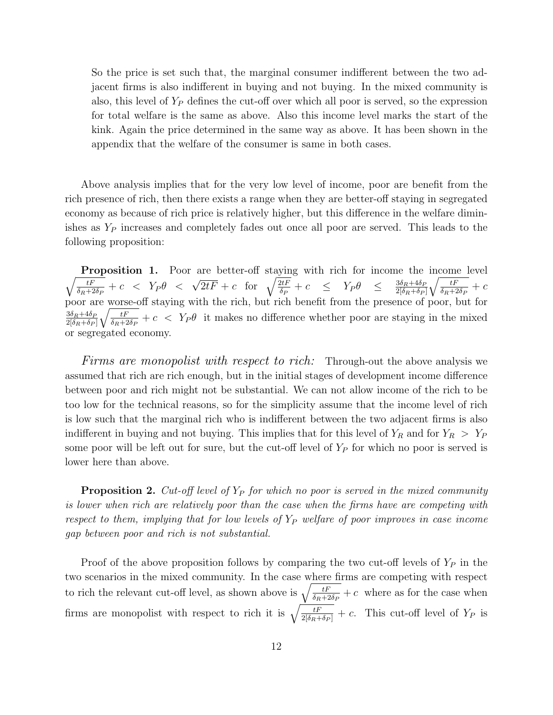So the price is set such that, the marginal consumer indifferent between the two adjacent firms is also indifferent in buying and not buying. In the mixed community is also, this level of  $Y_P$  defines the cut-off over which all poor is served, so the expression for total welfare is the same as above. Also this income level marks the start of the kink. Again the price determined in the same way as above. It has been shown in the appendix that the welfare of the consumer is same in both cases.

Above analysis implies that for the very low level of income, poor are benefit from the rich presence of rich, then there exists a range when they are better-off staying in segregated economy as because of rich price is relatively higher, but this difference in the welfare diminishes as  $Y_P$  increases and completely fades out once all poor are served. This leads to the following proposition:

 $\sqrt{t}$ **Proposition 1.** Poor are better-off staying with rich for income the income level **EXECUTE:** FOOT are better on staying with field to income the<br>  $\frac{dF}{dR+2\delta p} + c < Y_P \theta < \sqrt{2t}F + c$  for  $\sqrt{\frac{2tF}{\delta p}} + c \leq Y_P \theta \leq \frac{3\delta_R + 4\delta_P}{2[\delta_R + \delta_P]}$  $2[\delta_R+\delta_P]$  $\sqrt{t}$  $\frac{tF}{\delta_R+2\delta_P}+c$ poor are worse-off staying with the rich, but rich benefit from the presence of poor, but for  $\frac{3\delta_R+4\delta_P}{}$  $2[\delta_R+\delta_P]$  $\sqrt{t}$  $\frac{tF}{\delta_R+2\delta_P}+c < Y_P\theta$  it makes no difference whether poor are staying in the mixed or segregated economy.

Firms are monopolist with respect to rich: Through-out the above analysis we assumed that rich are rich enough, but in the initial stages of development income difference between poor and rich might not be substantial. We can not allow income of the rich to be too low for the technical reasons, so for the simplicity assume that the income level of rich is low such that the marginal rich who is indifferent between the two adjacent firms is also indifferent in buying and not buying. This implies that for this level of  $Y_R$  and for  $Y_R > Y_P$ some poor will be left out for sure, but the cut-off level of  $Y_P$  for which no poor is served is lower here than above.

**Proposition 2.** Cut-off level of  $Y_P$  for which no poor is served in the mixed community is lower when rich are relatively poor than the case when the firms have are competing with respect to them, implying that for low levels of  $Y_P$  welfare of poor improves in case income gap between poor and rich is not substantial.

Proof of the above proposition follows by comparing the two cut-off levels of  $Y_P$  in the two scenarios in the mixed community. In the case where firms are competing with respect to rich the relevant cut-off level, as shown above is  $\sqrt{\frac{tF}{\delta_R+2\delta_P}}+c$  where as for the case when firms are monopolist with respect to rich it is  $\sqrt{\frac{tF}{2[\delta_R+\delta_P]}}+c$ . This cut-off level of  $Y_P$  is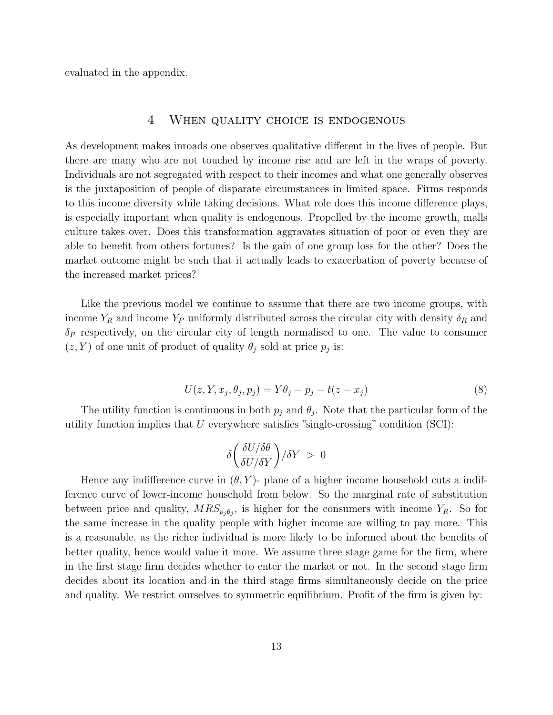evaluated in the appendix.

#### 4 When quality choice is endogenous

As development makes inroads one observes qualitative different in the lives of people. But there are many who are not touched by income rise and are left in the wraps of poverty. Individuals are not segregated with respect to their incomes and what one generally observes is the juxtaposition of people of disparate circumstances in limited space. Firms responds to this income diversity while taking decisions. What role does this income difference plays, is especially important when quality is endogenous. Propelled by the income growth, malls culture takes over. Does this transformation aggravates situation of poor or even they are able to benefit from others fortunes? Is the gain of one group loss for the other? Does the market outcome might be such that it actually leads to exacerbation of poverty because of the increased market prices?

Like the previous model we continue to assume that there are two income groups, with income  $Y_R$  and income  $Y_P$  uniformly distributed across the circular city with density  $\delta_R$  and  $\delta_P$  respectively, on the circular city of length normalised to one. The value to consumer  $(z, Y)$  of one unit of product of quality  $\theta_j$  sold at price  $p_j$  is:

$$
U(z, Y, x_j, \theta_j, p_j) = Y\theta_j - p_j - t(z - x_j)
$$
\n
$$
(8)
$$

The utility function is continuous in both  $p_j$  and  $\theta_j$ . Note that the particular form of the utility function implies that  $U$  everywhere satisfies "single-crossing" condition  $(SCI)$ :

$$
\delta \bigg(\frac{\delta U/\delta \theta}{\delta U/\delta Y}\bigg)/\delta Y \ > \ 0
$$

Hence any indifference curve in  $(\theta, Y)$ - plane of a higher income household cuts a indifference curve of lower-income household from below. So the marginal rate of substitution between price and quality,  $MRS_{p_j\theta_j}$ , is higher for the consumers with income  $Y_R$ . So for the same increase in the quality people with higher income are willing to pay more. This is a reasonable, as the richer individual is more likely to be informed about the benefits of better quality, hence would value it more. We assume three stage game for the firm, where in the first stage firm decides whether to enter the market or not. In the second stage firm decides about its location and in the third stage firms simultaneously decide on the price and quality. We restrict ourselves to symmetric equilibrium. Profit of the firm is given by: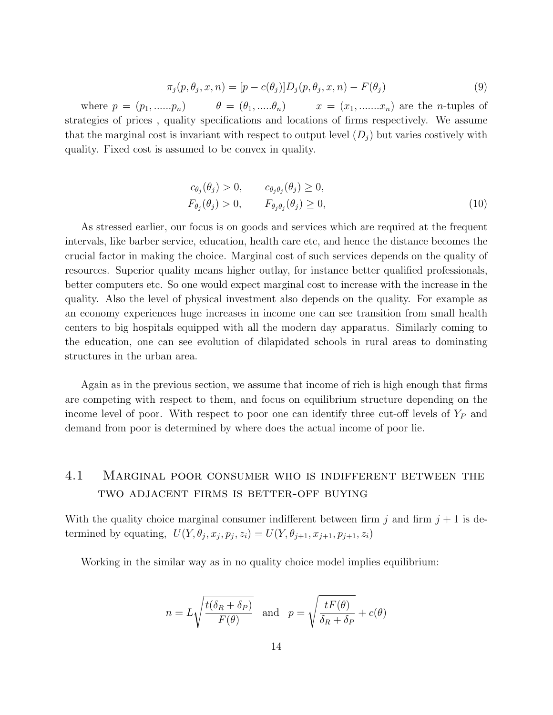$$
\pi_j(p, \theta_j, x, n) = [p - c(\theta_j)] D_j(p, \theta_j, x, n) - F(\theta_j)
$$
\n(9)

where  $p = (p_1, \ldots, p_n)$   $\theta = (\theta_1, \ldots, \theta_n)$   $x = (x_1, \ldots, x_n)$  are the *n*-tuples of strategies of prices , quality specifications and locations of firms respectively. We assume that the marginal cost is invariant with respect to output level  $(D_i)$  but varies costively with quality. Fixed cost is assumed to be convex in quality.

$$
c_{\theta_j}(\theta_j) > 0, \qquad c_{\theta_j \theta_j}(\theta_j) \ge 0,
$$
  
\n
$$
F_{\theta_j}(\theta_j) > 0, \qquad F_{\theta_j \theta_j}(\theta_j) \ge 0,
$$
\n(10)

As stressed earlier, our focus is on goods and services which are required at the frequent intervals, like barber service, education, health care etc, and hence the distance becomes the crucial factor in making the choice. Marginal cost of such services depends on the quality of resources. Superior quality means higher outlay, for instance better qualified professionals, better computers etc. So one would expect marginal cost to increase with the increase in the quality. Also the level of physical investment also depends on the quality. For example as an economy experiences huge increases in income one can see transition from small health centers to big hospitals equipped with all the modern day apparatus. Similarly coming to the education, one can see evolution of dilapidated schools in rural areas to dominating structures in the urban area.

Again as in the previous section, we assume that income of rich is high enough that firms are competing with respect to them, and focus on equilibrium structure depending on the income level of poor. With respect to poor one can identify three cut-off levels of  $Y_P$  and demand from poor is determined by where does the actual income of poor lie.

# 4.1 Marginal poor consumer who is indifferent between the two adjacent firms is better-off buying

With the quality choice marginal consumer indifferent between firm j and firm  $j + 1$  is determined by equating,  $U(Y, \theta_j, x_j, p_j, z_i) = U(Y, \theta_{j+1}, x_{j+1}, p_{j+1}, z_i)$ 

Working in the similar way as in no quality choice model implies equilibrium:

$$
n = L\sqrt{\frac{t(\delta_R + \delta_P)}{F(\theta)}} \quad \text{and} \quad p = \sqrt{\frac{tF(\theta)}{\delta_R + \delta_P}} + c(\theta)
$$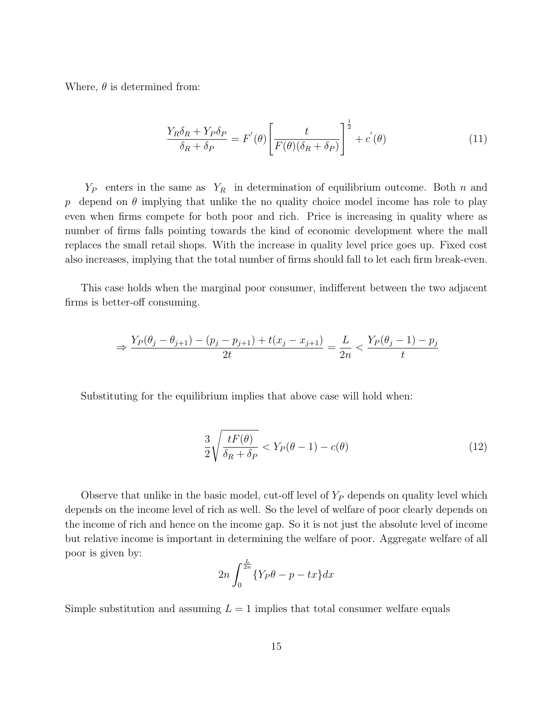Where,  $\theta$  is determined from:

$$
\frac{Y_R \delta_R + Y_P \delta_P}{\delta_R + \delta_P} = F'(\theta) \left[ \frac{t}{F(\theta)(\delta_R + \delta_P)} \right]^{\frac{1}{2}} + c'(\theta)
$$
\n(11)

 $Y_P$  enters in the same as  $Y_R$  in determination of equilibrium outcome. Both n and p depend on  $\theta$  implying that unlike the no quality choice model income has role to play even when firms compete for both poor and rich. Price is increasing in quality where as number of firms falls pointing towards the kind of economic development where the mall replaces the small retail shops. With the increase in quality level price goes up. Fixed cost also increases, implying that the total number of firms should fall to let each firm break-even.

This case holds when the marginal poor consumer, indifferent between the two adjacent firms is better-off consuming.

$$
\Rightarrow \frac{Y_P(\theta_j - \theta_{j+1}) - (p_j - p_{j+1}) + t(x_j - x_{j+1})}{2t} = \frac{L}{2n} < \frac{Y_P(\theta_j - 1) - p_j}{t}
$$

Substituting for the equilibrium implies that above case will hold when:

$$
\frac{3}{2}\sqrt{\frac{tF(\theta)}{\delta_R + \delta_P}} < Y_P(\theta - 1) - c(\theta)
$$
\n(12)

Observe that unlike in the basic model, cut-off level of  $Y_P$  depends on quality level which depends on the income level of rich as well. So the level of welfare of poor clearly depends on the income of rich and hence on the income gap. So it is not just the absolute level of income but relative income is important in determining the welfare of poor. Aggregate welfare of all poor is given by:

$$
2n\int_0^{\frac{L}{2n}} \{Y_P \theta - p - tx\} dx
$$

Simple substitution and assuming  $L = 1$  implies that total consumer welfare equals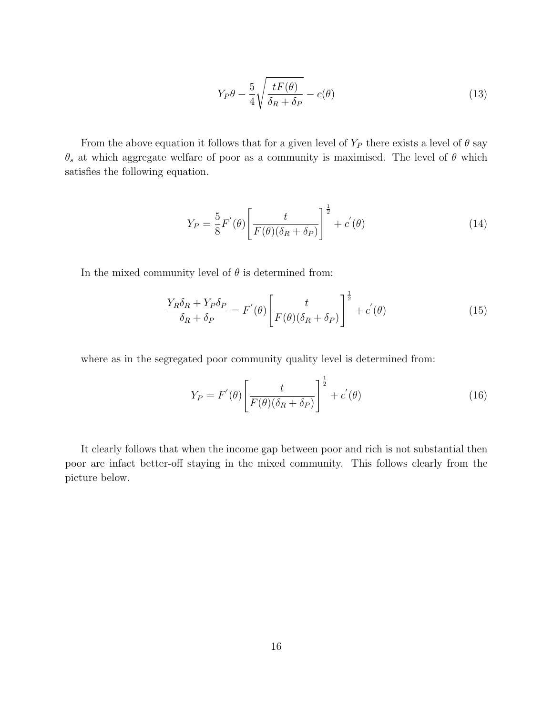$$
Y_P \theta - \frac{5}{4} \sqrt{\frac{tF(\theta)}{\delta_R + \delta_P}} - c(\theta)
$$
\n(13)

From the above equation it follows that for a given level of  $Y_P$  there exists a level of  $\theta$  say  $\theta_s$  at which aggregate welfare of poor as a community is maximised. The level of  $\theta$  which satisfies the following equation.

$$
Y_P = \frac{5}{8} F'(\theta) \left[ \frac{t}{F(\theta)(\delta_R + \delta_P)} \right]^{\frac{1}{2}} + c'(\theta)
$$
\n(14)

In the mixed community level of  $\theta$  is determined from:

$$
\frac{Y_R \delta_R + Y_P \delta_P}{\delta_R + \delta_P} = F'(\theta) \left[ \frac{t}{F(\theta)(\delta_R + \delta_P)} \right]^{\frac{1}{2}} + c'(\theta)
$$
\n(15)

where as in the segregated poor community quality level is determined from:

$$
Y_P = F'(\theta) \left[ \frac{t}{F(\theta)(\delta_R + \delta_P)} \right]^{\frac{1}{2}} + c'(\theta)
$$
\n(16)

It clearly follows that when the income gap between poor and rich is not substantial then poor are infact better-off staying in the mixed community. This follows clearly from the picture below.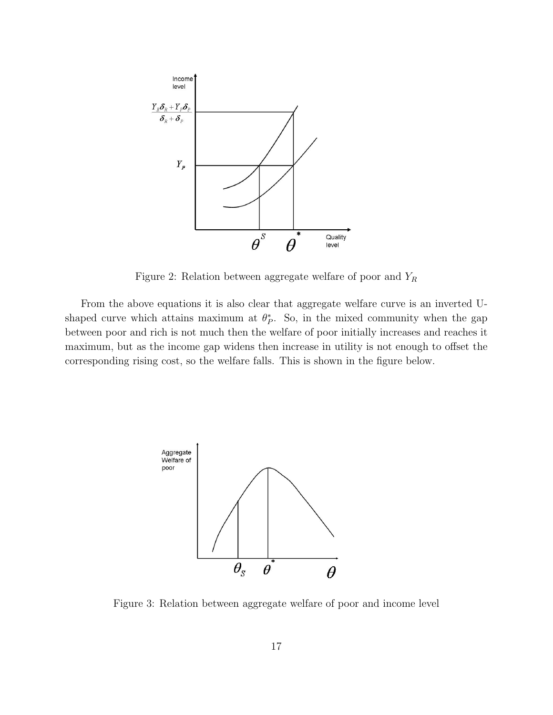

Figure 2: Relation between aggregate welfare of poor and  $Y_R$ 

From the above equations it is also clear that aggregate welfare curve is an inverted Ushaped curve which attains maximum at  $\theta_P^*$ . So, in the mixed community when the gap between poor and rich is not much then the welfare of poor initially increases and reaches it maximum, but as the income gap widens then increase in utility is not enough to offset the corresponding rising cost, so the welfare falls. This is shown in the figure below.



Figure 3: Relation between aggregate welfare of poor and income level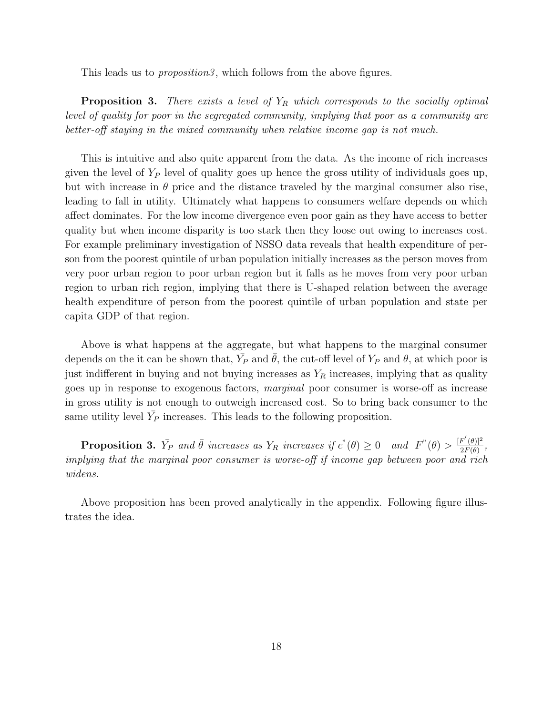This leads us to *proposition3*, which follows from the above figures.

**Proposition 3.** There exists a level of  $Y_R$  which corresponds to the socially optimal level of quality for poor in the segregated community, implying that poor as a community are better-off staying in the mixed community when relative income gap is not much.

This is intuitive and also quite apparent from the data. As the income of rich increases given the level of  $Y_P$  level of quality goes up hence the gross utility of individuals goes up, but with increase in  $\theta$  price and the distance traveled by the marginal consumer also rise, leading to fall in utility. Ultimately what happens to consumers welfare depends on which affect dominates. For the low income divergence even poor gain as they have access to better quality but when income disparity is too stark then they loose out owing to increases cost. For example preliminary investigation of NSSO data reveals that health expenditure of person from the poorest quintile of urban population initially increases as the person moves from very poor urban region to poor urban region but it falls as he moves from very poor urban region to urban rich region, implying that there is U-shaped relation between the average health expenditure of person from the poorest quintile of urban population and state per capita GDP of that region.

Above is what happens at the aggregate, but what happens to the marginal consumer depends on the it can be shown that,  $\bar{Y}_P$  and  $\bar{\theta}$ , the cut-off level of  $Y_P$  and  $\theta$ , at which poor is just indifferent in buying and not buying increases as  $Y_R$  increases, implying that as quality goes up in response to exogenous factors, marginal poor consumer is worse-off as increase in gross utility is not enough to outweigh increased cost. So to bring back consumer to the same utility level  $\bar{Y}_P$  increases. This leads to the following proposition.

**Proposition 3.**  $\bar{Y}_P$  and  $\bar{\theta}$  increases as  $Y_R$  increases if  $c''(\theta) \geq 0$  and  $F''(\theta) > \frac{[F'(\theta)]^2}{2F(\theta)}$  $\frac{F'(\theta)|^2}{2F(\theta)},$ implying that the marginal poor consumer is worse-off if income gap between poor and rich widens.

Above proposition has been proved analytically in the appendix. Following figure illustrates the idea.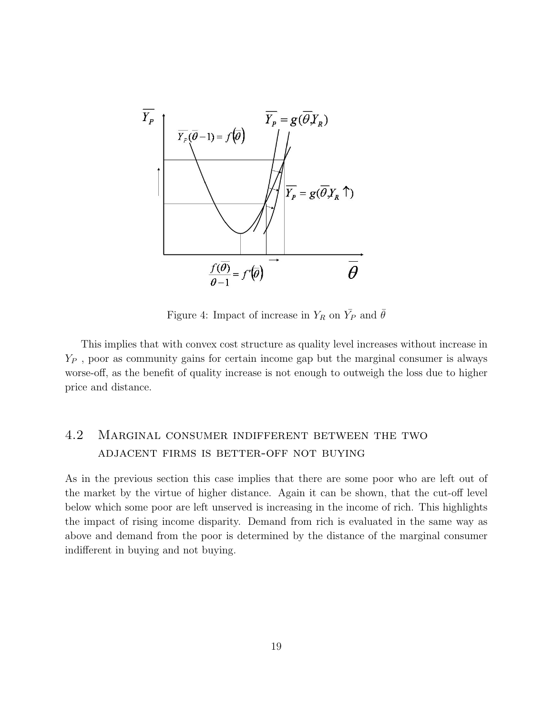

Figure 4: Impact of increase in  $Y_R$  on  $\bar{Y}_P$  and  $\bar{\theta}$ 

This implies that with convex cost structure as quality level increases without increase in  $Y_P$ , poor as community gains for certain income gap but the marginal consumer is always worse-off, as the benefit of quality increase is not enough to outweigh the loss due to higher price and distance.

# 4.2 Marginal consumer indifferent between the two adjacent firms is better-off not buying

As in the previous section this case implies that there are some poor who are left out of the market by the virtue of higher distance. Again it can be shown, that the cut-off level below which some poor are left unserved is increasing in the income of rich. This highlights the impact of rising income disparity. Demand from rich is evaluated in the same way as above and demand from the poor is determined by the distance of the marginal consumer indifferent in buying and not buying.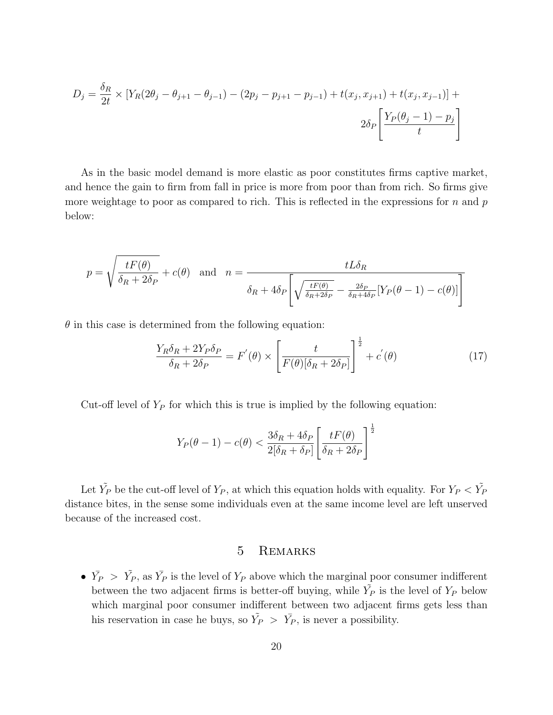$$
D_j = \frac{\delta_R}{2t} \times \left[ Y_R(2\theta_j - \theta_{j+1} - \theta_{j-1}) - (2p_j - p_{j+1} - p_{j-1}) + t(x_j, x_{j+1}) + t(x_j, x_{j-1}) \right] +
$$
  

$$
2\delta_P \left[ \frac{Y_P(\theta_j - 1) - p_j}{t} \right]
$$

As in the basic model demand is more elastic as poor constitutes firms captive market, and hence the gain to firm from fall in price is more from poor than from rich. So firms give more weightage to poor as compared to rich. This is reflected in the expressions for  $n$  and  $p$ below:

$$
p = \sqrt{\frac{tF(\theta)}{\delta_R + 2\delta_P}} + c(\theta) \quad \text{and} \quad n = \frac{tL\delta_R}{\delta_R + 4\delta_P \left[ \sqrt{\frac{tF(\theta)}{\delta_R + 2\delta_P}} - \frac{2\delta_P}{\delta_R + 4\delta_P} [Y_P(\theta - 1) - c(\theta)] \right]}
$$

 $\theta$  in this case is determined from the following equation:

$$
\frac{Y_R \delta_R + 2Y_P \delta_P}{\delta_R + 2\delta_P} = F'(\theta) \times \left[ \frac{t}{F(\theta)[\delta_R + 2\delta_P]} \right]^{\frac{1}{2}} + c'(\theta)
$$
(17)

Cut-off level of  $Y_P$  for which this is true is implied by the following equation:

$$
Y_P(\theta - 1) - c(\theta) < \frac{3\delta_R + 4\delta_P}{2[\delta_R + \delta_P]} \left[ \frac{tF(\theta)}{\delta_R + 2\delta_P} \right]^{\frac{1}{2}}
$$

Let  $\tilde{Y_P}$  be the cut-off level of  $Y_P$ , at which this equation holds with equality. For  $Y_P < \tilde{Y_P}$ distance bites, in the sense some individuals even at the same income level are left unserved because of the increased cost.

# 5 Remarks

•  $\bar{Y}_P > \tilde{Y}_P$ , as  $\bar{Y}_P$  is the level of  $Y_P$  above which the marginal poor consumer indifferent between the two adjacent firms is better-off buying, while  $\tilde{Y_P}$  is the level of  $Y_P$  below which marginal poor consumer indifferent between two adjacent firms gets less than his reservation in case he buys, so  $\tilde{Y}_P > \bar{Y}_P$ , is never a possibility.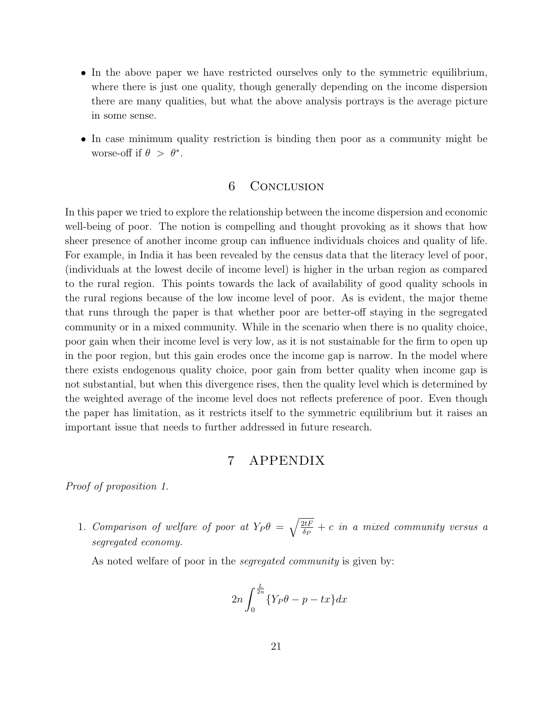- In the above paper we have restricted ourselves only to the symmetric equilibrium, where there is just one quality, though generally depending on the income dispersion there are many qualities, but what the above analysis portrays is the average picture in some sense.
- In case minimum quality restriction is binding then poor as a community might be worse-off if  $\theta > \theta^*$ .

# 6 Conclusion

In this paper we tried to explore the relationship between the income dispersion and economic well-being of poor. The notion is compelling and thought provoking as it shows that how sheer presence of another income group can influence individuals choices and quality of life. For example, in India it has been revealed by the census data that the literacy level of poor, (individuals at the lowest decile of income level) is higher in the urban region as compared to the rural region. This points towards the lack of availability of good quality schools in the rural regions because of the low income level of poor. As is evident, the major theme that runs through the paper is that whether poor are better-off staying in the segregated community or in a mixed community. While in the scenario when there is no quality choice, poor gain when their income level is very low, as it is not sustainable for the firm to open up in the poor region, but this gain erodes once the income gap is narrow. In the model where there exists endogenous quality choice, poor gain from better quality when income gap is not substantial, but when this divergence rises, then the quality level which is determined by the weighted average of the income level does not reflects preference of poor. Even though the paper has limitation, as it restricts itself to the symmetric equilibrium but it raises an important issue that needs to further addressed in future research.

# 7 APPENDIX

Proof of proposition 1.

1. Comparison of welfare of poor at  $Y_P \theta = \sqrt{\frac{2tF}{\delta P}}$  $\frac{\partial tF}{\partial P}+c$  in a mixed community versus a segregated economy.

As noted welfare of poor in the segregated community is given by:

$$
2n\int_0^{\frac{L}{2n}} \{Y_P \theta - p - tx\} dx
$$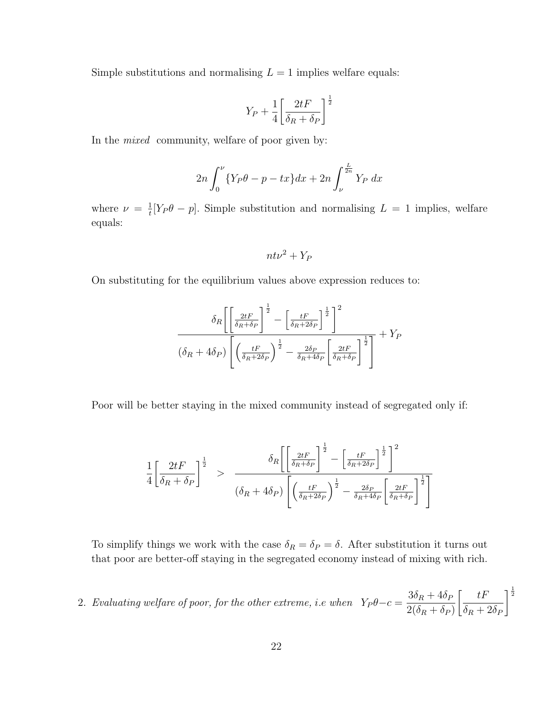Simple substitutions and normalising  $L = 1$  implies welfare equals:

$$
Y_P + \frac{1}{4} \left[ \frac{2tF}{\delta_R + \delta_P} \right]^{\frac{1}{2}}
$$

In the *mixed* community, welfare of poor given by:

$$
2n\int_0^{\nu} \{Y_P\theta - p - tx\} dx + 2n\int_{\nu}^{\frac{L}{2n}} Y_P dx
$$

where  $\nu = \frac{1}{t}$  $\frac{1}{t}[Y_P \theta - p]$ . Simple substitution and normalising  $L = 1$  implies, welfare equals:

$$
nt\nu^2 + Y_P
$$

On substituting for the equilibrium values above expression reduces to:

$$
\frac{\delta_R \left[ \left[ \frac{2tF}{\delta_R + \delta_P} \right]^{\frac{1}{2}} - \left[ \frac{tF}{\delta_R + 2\delta_P} \right]^{\frac{1}{2}} \right]^2}{(\delta_R + 4\delta_P) \left[ \left( \frac{tF}{\delta_R + 2\delta_P} \right)^{\frac{1}{2}} - \frac{2\delta_P}{\delta_R + 4\delta_P} \left[ \frac{2tF}{\delta_R + \delta_P} \right]^{\frac{1}{2}} \right]} + Y_F
$$

Poor will be better staying in the mixed community instead of segregated only if:

$$
\frac{1}{4} \left[ \frac{2tF}{\delta_R + \delta_P} \right]^{\frac{1}{2}} > \frac{\delta_R \left[ \left[ \frac{2tF}{\delta_R + \delta_P} \right]^{\frac{1}{2}} - \left[ \frac{tF}{\delta_R + 2\delta_P} \right]^{\frac{1}{2}} \right]^2}{(\delta_R + 4\delta_P) \left[ \left( \frac{tF}{\delta_R + 2\delta_P} \right)^{\frac{1}{2}} - \frac{2\delta_P}{\delta_R + 4\delta_P} \left[ \frac{2tF}{\delta_R + \delta_P} \right]^{\frac{1}{2}} \right]}
$$

To simplify things we work with the case  $\delta_R = \delta_P = \delta$ . After substitution it turns out that poor are better-off staying in the segregated economy instead of mixing with rich.

2. Evaluating welfare of poor, for the other extreme, i.e when  $Y_P \theta - c = \frac{3\delta_R + 4\delta_F}{2(S - 1)S}$  $2(\delta_R+\delta_P)$  $\lceil tF$  $\delta_R + 2\delta_P$  $\frac{1}{2}$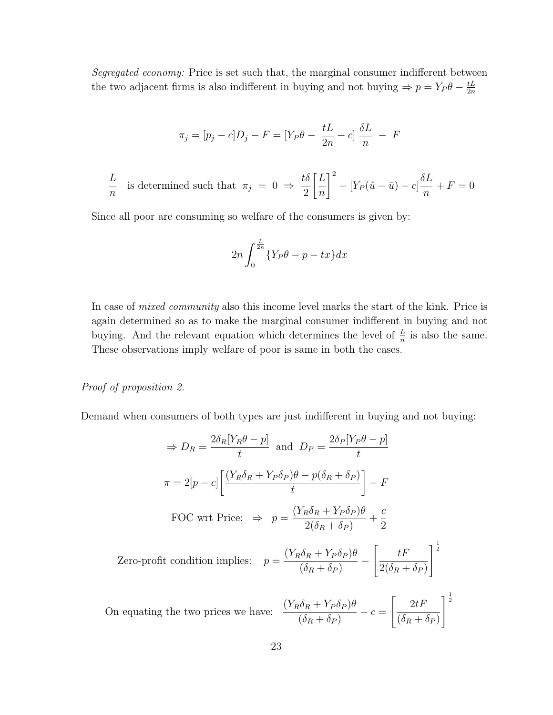Segregated economy: Price is set such that, the marginal consumer indifferent between the two adjacent firms is also indifferent in buying and not buying  $\Rightarrow p = Y_P \theta - \frac{tL}{2n}$  $_{2n}$ 

$$
\pi_j = [p_j - c]D_j - F = [Y_P \theta - \frac{tL}{2n} - c] \frac{\delta L}{n} - F
$$

$$
\frac{L}{n} \text{ is determined such that } \pi_j = 0 \implies \frac{t\delta}{2} \left[ \frac{L}{n} \right]^2 - [Y_P(\tilde{u} - \bar{u}) - c] \frac{\delta L}{n} + F = 0
$$

Since all poor are consuming so welfare of the consumers is given by:

$$
2n\int_0^{\frac{L}{2n}} \{Y_P \theta - p - tx\} dx
$$

In case of *mixed community* also this income level marks the start of the kink. Price is again determined so as to make the marginal consumer indifferent in buying and not buying. And the relevant equation which determines the level of  $\frac{L}{n}$  is also the same. These observations imply welfare of poor is same in both the cases.

#### Proof of proposition 2.

Demand when consumers of both types are just indifferent in buying and not buying:

$$
\Rightarrow D_R = \frac{2\delta_R[Y_R\theta - p]}{t} \text{ and } D_P = \frac{2\delta_P[Y_P\theta - p]}{t}
$$

$$
\pi = 2[p - c] \left[ \frac{(Y_R\delta_R + Y_P\delta_P)\theta - p(\delta_R + \delta_P)}{t} \right] - F
$$
FOC wrt Price: 
$$
\Rightarrow p = \frac{(Y_R\delta_R + Y_P\delta_P)\theta}{2(\delta_R + \delta_P)} + \frac{c}{2}
$$
Zero-profit condition implies: 
$$
p = \frac{(Y_R\delta_R + Y_P\delta_P)\theta}{(\delta_R + \delta_P)} - \left[ \frac{tF}{2(\delta_R + \delta_P)} \right]^{\frac{1}{2}}
$$

On equating the two prices we have:  $\frac{(Y_R \delta_R + Y_P \delta_P) \theta}{\sqrt{S_R + S_R}}$  $(\delta_R+\delta_P)$  $-c =$  $\begin{bmatrix} 2tF \end{bmatrix}$  $(\delta_R+\delta_P)$  $\frac{1}{2}$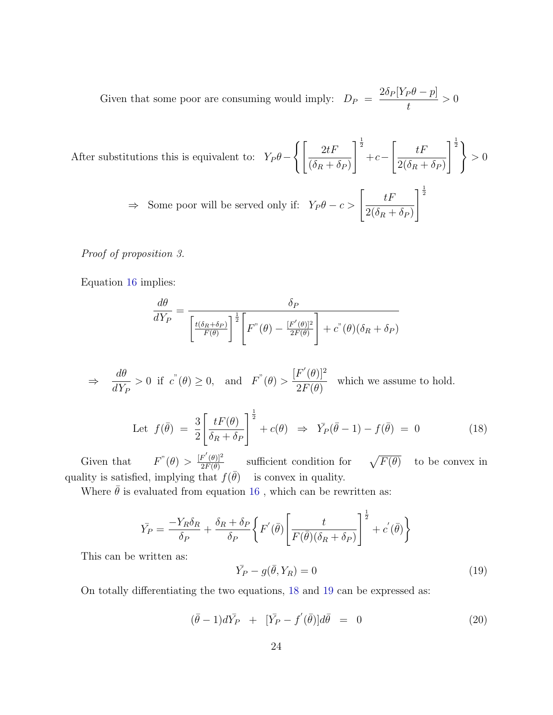Given that some poor are consuming would imply:  $D_P =$  $2\delta_P[Y_P\theta-p]$ t  $> 0$ 

After substitutions this is equivalent to:  $Y_P \theta \int \left[ 2tF \right]$  $(\delta_R + \delta_P)$  $\frac{1}{2}$  $+c \left[\begin{array}{cc} & tF \end{array}\right]$  $2(\delta_R+\delta_P)$  $\frac{1}{2}$  $> 0$ ⇒ Some poor will be served only if:  $Y_P \theta - c > \left[ \frac{tF}{2\sqrt{5}} \right]$  $2(\delta_R + \delta_P)$  $\frac{1}{2}$ 

Proof of proposition 3.

Equation 16 implies:

$$
\frac{d\theta}{dY_P} = \frac{\delta_P}{\left[\frac{t(\delta_R + \delta_P)}{F(\theta)}\right]^{\frac{1}{2}} \left[F^{"}(\theta) - \frac{[F'(\theta)]^2}{2F(\theta)}\right] + c^{"}(\theta)(\delta_R + \delta_P)}
$$

$$
\Rightarrow \frac{d\theta}{dY_P} > 0 \text{ if } c^{\text{"}}(\theta) \ge 0, \text{ and } F^{\text{"}}(\theta) > \frac{[F'(\theta)]^2}{2F(\theta)} \text{ which we assume to hold.}
$$

Let 
$$
f(\bar{\theta}) = \frac{3}{2} \left[ \frac{tF(\theta)}{\delta_R + \delta_P} \right]^{\frac{1}{2}} + c(\theta) \Rightarrow \bar{Y}_P(\bar{\theta} - 1) - f(\bar{\theta}) = 0
$$
 (18)

Given that  $\int^{\infty}(\theta) > \frac{[F'(\theta)]^2}{2F(\theta)}$  $\frac{F(\theta)|^2}{2F(\theta)}$  sufficient condition for  $\sqrt{ }$ to be convex in quality is satisfied, implying that  $f(\bar{\theta})$  is convex in quality.

Where  $\bar{\theta}$  is evaluated from equation 16, which can be rewritten as:

$$
\bar{Y_P} = \frac{-Y_R \delta_R}{\delta_P} + \frac{\delta_R + \delta_P}{\delta_P} \left\{ F'(\bar{\theta}) \left[ \frac{t}{F(\bar{\theta}) (\delta_R + \delta_P)} \right]^{\frac{1}{2}} + c'(\bar{\theta}) \right\}
$$

This can be written as:

$$
\bar{Y}_P - g(\bar{\theta}, Y_R) = 0 \tag{19}
$$

On totally differentiating the two equations, 18 and 19 can be expressed as:

 $(\bar{\theta} - 1)d\bar{Y}_P + [\bar{Y}_P - f'(\bar{\theta})]d\bar{\theta} = 0$  (20)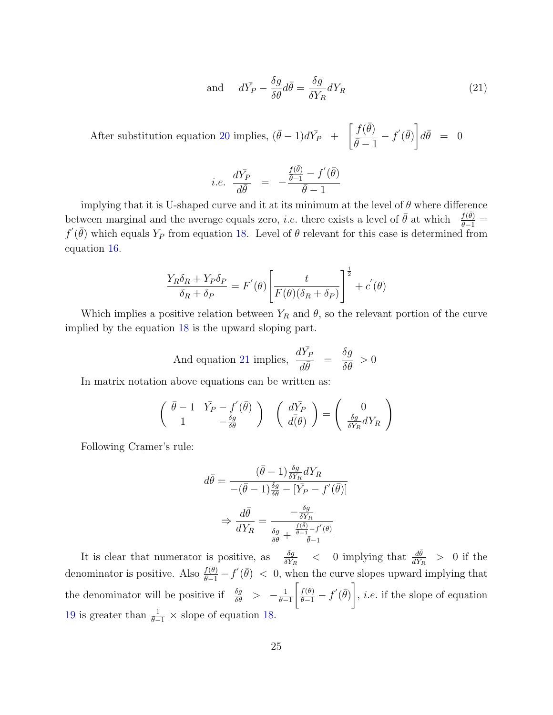and 
$$
d\bar{Y}_P - \frac{\delta g}{\delta \theta} d\bar{\theta} = \frac{\delta g}{\delta Y_R} dY_R
$$
 (21)

After substitution equation 20 implies,  $(\bar{\theta} - 1)d\bar{Y}_P$  +  $\int f(\bar{\theta})$  $\left[\frac{f(\theta)}{\bar{\theta}-1}-f'(\bar{\theta})\right]$  $d\bar{\theta} = 0$ 

*i.e.* 
$$
\frac{d\bar{Y_P}}{d\bar{\theta}} = -\frac{\frac{f(\bar{\theta})}{\bar{\theta}-1} - f'(\bar{\theta})}{\bar{\theta}-1}
$$

implying that it is U-shaped curve and it at its minimum at the level of  $\theta$  where difference between marginal and the average equals zero, *i.e.* there exists a level of  $\bar{\theta}$  at which  $\frac{f(\bar{\theta})}{\bar{\theta}-1}$  $f'(\bar{\theta})$  which equals  $Y_P$  from equation 18. Level of  $\theta$  relevant for this case is determined from equation 16.

$$
\frac{Y_R \delta_R + Y_P \delta_P}{\delta_R + \delta_P} = F'(\theta) \left[ \frac{t}{F(\theta)(\delta_R + \delta_P)} \right]^{\frac{1}{2}} + c'(\theta)
$$

Which implies a positive relation between  $Y_R$  and  $\theta$ , so the relevant portion of the curve implied by the equation 18 is the upward sloping part.

And equation 21 implies, 
$$
\frac{d\bar{Y}_P}{d\bar{\theta}} = \frac{\delta g}{\delta \theta} > 0
$$

In matrix notation above equations can be written as:

$$
\begin{pmatrix}\n\bar{\theta} - 1 & \bar{Y}_P - f'(\bar{\theta}) \\
1 & -\frac{\delta g}{\delta \theta}\n\end{pmatrix}\n\begin{pmatrix}\nd\bar{Y}_P \\
d\bar{\theta}\n\end{pmatrix} = \begin{pmatrix}\n0 \\
\frac{\delta g}{\delta Y_R} dY_R\n\end{pmatrix}
$$

Following Cramer's rule:

$$
d\bar{\theta} = \frac{(\bar{\theta} - 1)\frac{\delta g}{\delta Y_R} dY_R}{-(\bar{\theta} - 1)\frac{\delta g}{\delta \theta} - [\bar{Y_P} - f'(\bar{\theta})]}
$$

$$
\Rightarrow \frac{d\bar{\theta}}{dY_R} = \frac{-\frac{\delta g}{\delta Y_R}}{\frac{\delta g}{\delta \theta} + \frac{\frac{f(\bar{\theta})}{\theta} - f'(\bar{\theta})}{\bar{\theta} - 1}}
$$

It is clear that numerator is positive, as  $\frac{\delta g}{\delta Y_R}$  < 0 implying that  $\frac{d\bar{\theta}}{dY_R}$  > 0 if the denominator is positive. Also  $\frac{f(\bar{\theta})}{\bar{\theta}-1} - f'(\bar{\theta}) < 0$ , when the curve slopes upward implying that the denominator will be positive if  $\frac{\delta g}{\delta \theta}$  >  $-\frac{1}{\theta-1}$  $\left[\frac{f(\bar{\theta})}{\bar{\theta}-1}-f'(\bar{\theta})\right]$ , i.e. if the slope of equation 19 is greater than  $\frac{1}{\theta-1} \times$  slope of equation 18.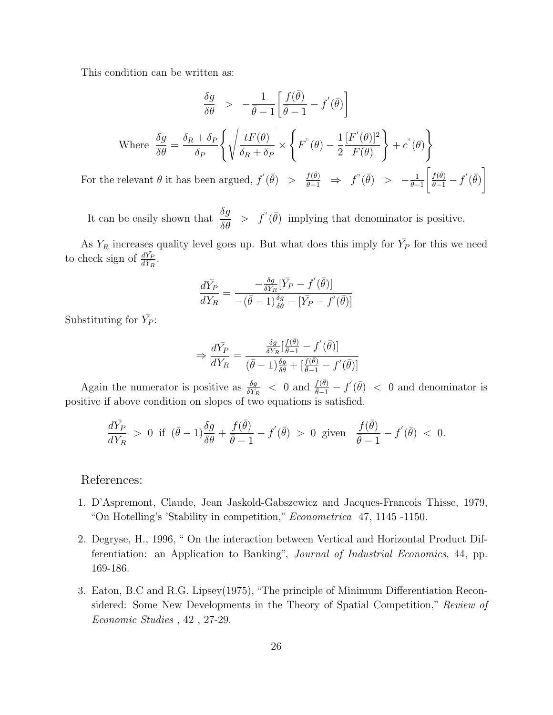This condition can be written as:

$$
\frac{\delta g}{\delta \theta} > -\frac{1}{\bar{\theta}-1} \left[ \frac{f(\bar{\theta})}{\bar{\theta}-1} - f'(\bar{\theta}) \right]
$$
  
Where  $\frac{\delta g}{\delta \theta} = \frac{\delta_R + \delta_P}{\delta_P} \left\{ \sqrt{\frac{tF(\theta)}{\delta_R + \delta_P}} \times \left\{ F^{\dagger}(\theta) - \frac{1}{2} \frac{[F'(\theta)]^2}{F(\theta)} \right\} + c^{\dagger}(\theta) \right\}$   
relevant  $\theta$  it has been argued,  $f'(\bar{\theta}) > \frac{f(\bar{\theta})}{\bar{\theta}-1} \Rightarrow f^{\dagger}(\bar{\theta}) > -\frac{1}{\bar{\theta}-1} \left[ \frac{f(\bar{\theta})}{\bar{\theta}-1} - f'(\bar{\theta}) \right]$ 

It can be easily shown that  $\frac{\delta g}{\delta \theta} > f(\bar{\theta})$  implying that denominator is positive.

As  $Y_R$  increases quality level goes up. But what does this imply for  $\bar{Y_P}$  for this we need to check sign of  $\frac{d\bar{Y_P}}{dY_R}$ .

$$
\frac{d\bar{Y_P}}{dY_R} = \frac{-\frac{\delta g}{\delta Y_R}[\bar{Y_P} - f'(\bar{\theta})]}{-(\bar{\theta} - 1)\frac{\delta g}{\delta \theta} - [\bar{Y_P} - f'(\bar{\theta})]}
$$

Substituting for  $\bar{Y}_P$ :

For the

$$
\Rightarrow \frac{d\bar{Y}_P}{dY_R} = \frac{\frac{\delta g}{\delta Y_R} \left[\frac{f(\bar{\theta})}{\bar{\theta}-1} - f'(\bar{\theta})\right]}{(\bar{\theta}-1)\frac{\delta g}{\delta \theta} + \left[\frac{f(\bar{\theta})}{\bar{\theta}-1} - f'(\bar{\theta})\right]}
$$

Again the numerator is positive as  $\frac{\delta g}{\delta Y_R}$  < 0 and  $\frac{f(\bar{\theta})}{\bar{\theta}-1} - f'(\bar{\theta})$  < 0 and denominator is positive if above condition on slopes of two equations is satisfied.

$$
\frac{d\bar{Y_P}}{dY_R} > 0 \ \ \text{if} \ \ (\bar{\theta}-1)\frac{\delta g}{\delta \theta} + \frac{f(\bar{\theta})}{\bar{\theta}-1} - f'(\bar{\theta}) > 0 \ \ \text{given} \quad \frac{f(\bar{\theta})}{\bar{\theta}-1} - f'(\bar{\theta}) < 0.
$$

References:

- 1. D'Aspremont, Claude, Jean Jaskold-Gabszewicz and Jacques-Francois Thisse, 1979, "On Hotelling's 'Stability in competition," Econometrica 47, 1145 -1150.
- 2. Degryse, H., 1996, " On the interaction between Vertical and Horizontal Product Differentiation: an Application to Banking", Journal of Industrial Economics, 44, pp. 169-186.
- 3. Eaton, B.C and R.G. Lipsey(1975), "The principle of Minimum Differentiation Reconsidered: Some New Developments in the Theory of Spatial Competition," Review of Economic Studies , 42 , 27-29.